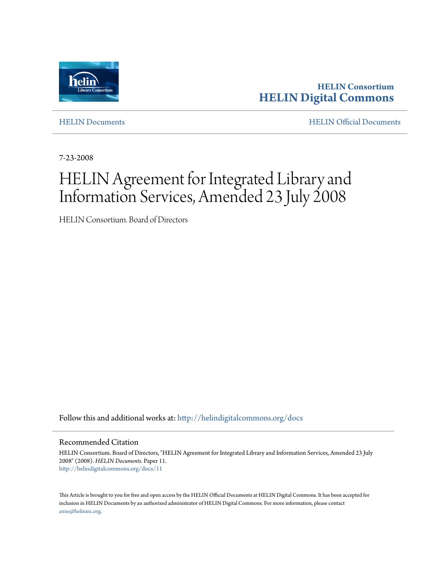

**HELIN Consortium [HELIN Digital Commons](http://helindigitalcommons.org?utm_source=helindigitalcommons.org%2Fdocs%2F11&utm_medium=PDF&utm_campaign=PDFCoverPages)**

[HELIN Documents](http://helindigitalcommons.org/docs?utm_source=helindigitalcommons.org%2Fdocs%2F11&utm_medium=PDF&utm_campaign=PDFCoverPages) [HELIN Official Documents](http://helindigitalcommons.org/documents?utm_source=helindigitalcommons.org%2Fdocs%2F11&utm_medium=PDF&utm_campaign=PDFCoverPages)

7-23-2008

# HELIN Agreement for Integrated Library and Information Services, Amended 23 July 2008

HELIN Consortium. Board of Directors

Follow this and additional works at: [http://helindigitalcommons.org/docs](http://helindigitalcommons.org/docs?utm_source=helindigitalcommons.org%2Fdocs%2F11&utm_medium=PDF&utm_campaign=PDFCoverPages)

Recommended Citation

HELIN Consortium. Board of Directors, "HELIN Agreement for Integrated Library and Information Services, Amended 23 July 2008" (2008). *HELIN Documents.* Paper 11. [http://helindigitalcommons.org/docs/11](http://helindigitalcommons.org/docs/11?utm_source=helindigitalcommons.org%2Fdocs%2F11&utm_medium=PDF&utm_campaign=PDFCoverPages)

This Article is brought to you for free and open access by the HELIN Official Documents at HELIN Digital Commons. It has been accepted for inclusion in HELIN Documents by an authorized administrator of HELIN Digital Commons. For more information, please contact [anne@helininc.org.](mailto:anne@helininc.org)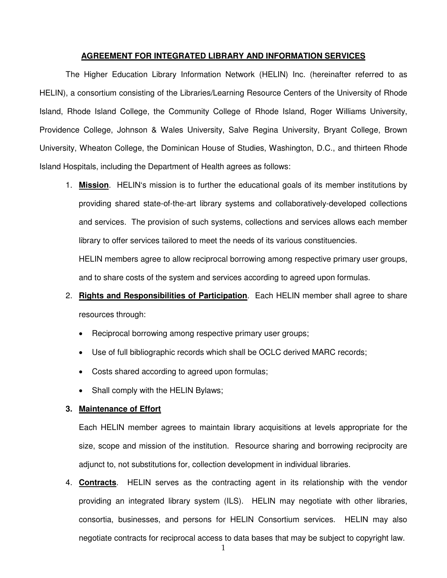#### **AGREEMENT FOR INTEGRATED LIBRARY AND INFORMATION SERVICES**

 The Higher Education Library Information Network (HELIN) Inc. (hereinafter referred to as HELIN), a consortium consisting of the Libraries/Learning Resource Centers of the University of Rhode Island, Rhode Island College, the Community College of Rhode Island, Roger Williams University, Providence College, Johnson & Wales University, Salve Regina University, Bryant College, Brown University, Wheaton College, the Dominican House of Studies, Washington, D.C., and thirteen Rhode Island Hospitals, including the Department of Health agrees as follows:

- 1. **Mission**. HELIN's mission is to further the educational goals of its member institutions by providing shared state-of-the-art library systems and collaboratively-developed collections and services. The provision of such systems, collections and services allows each member library to offer services tailored to meet the needs of its various constituencies. HELIN members agree to allow reciprocal borrowing among respective primary user groups, and to share costs of the system and services according to agreed upon formulas.
- 2. **Rights and Responsibilities of Participation**. Each HELIN member shall agree to share resources through:
	- Reciprocal borrowing among respective primary user groups;
	- Use of full bibliographic records which shall be OCLC derived MARC records;
	- Costs shared according to agreed upon formulas;
	- Shall comply with the HELIN Bylaws;

#### **3. Maintenance of Effort**

Each HELIN member agrees to maintain library acquisitions at levels appropriate for the size, scope and mission of the institution. Resource sharing and borrowing reciprocity are adjunct to, not substitutions for, collection development in individual libraries.

 $1$ 4. **Contracts**. HELIN serves as the contracting agent in its relationship with the vendor providing an integrated library system (ILS). HELIN may negotiate with other libraries, consortia, businesses, and persons for HELIN Consortium services. HELIN may also negotiate contracts for reciprocal access to data bases that may be subject to copyright law.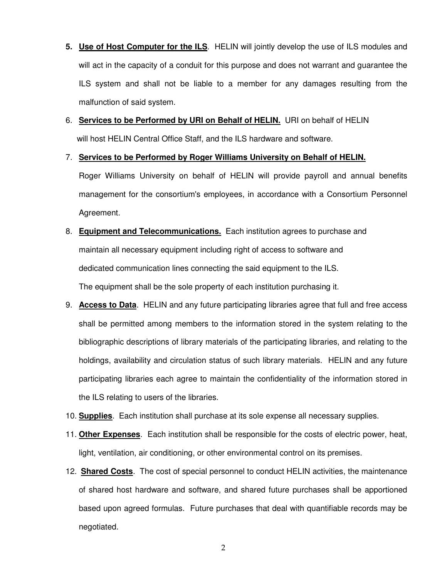- **5. Use of Host Computer for the ILS**. HELIN will jointly develop the use of ILS modules and will act in the capacity of a conduit for this purpose and does not warrant and guarantee the ILS system and shall not be liable to a member for any damages resulting from the malfunction of said system.
- 6. **Services to be Performed by URI on Behalf of HELIN.** URI on behalf of HELIN will host HELIN Central Office Staff, and the ILS hardware and software.
- 7. **Services to be Performed by Roger Williams University on Behalf of HELIN.**

Roger Williams University on behalf of HELIN will provide payroll and annual benefits management for the consortium's employees, in accordance with a Consortium Personnel Agreement.

- 8. **Equipment and Telecommunications.** Each institution agrees to purchase and maintain all necessary equipment including right of access to software and dedicated communication lines connecting the said equipment to the ILS. The equipment shall be the sole property of each institution purchasing it.
- 9. **Access to Data**. HELIN and any future participating libraries agree that full and free access shall be permitted among members to the information stored in the system relating to the bibliographic descriptions of library materials of the participating libraries, and relating to the holdings, availability and circulation status of such library materials. HELIN and any future participating libraries each agree to maintain the confidentiality of the information stored in the ILS relating to users of the libraries.
- 10. **Supplies**. Each institution shall purchase at its sole expense all necessary supplies.
- 11. **Other Expenses**. Each institution shall be responsible for the costs of electric power, heat, light, ventilation, air conditioning, or other environmental control on its premises.
- 12. **Shared Costs**. The cost of special personnel to conduct HELIN activities, the maintenance of shared host hardware and software, and shared future purchases shall be apportioned based upon agreed formulas. Future purchases that deal with quantifiable records may be negotiated.

2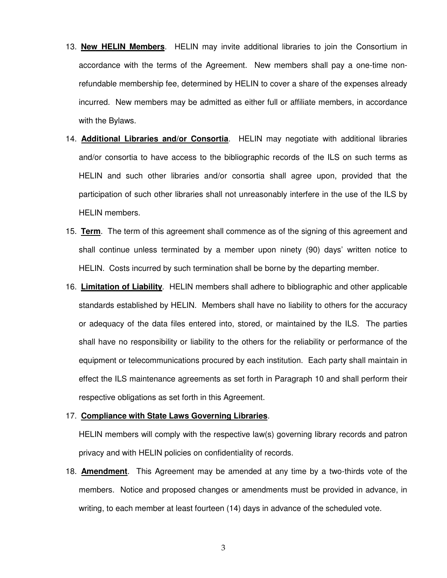- 13. **New HELIN Members**. HELIN may invite additional libraries to join the Consortium in accordance with the terms of the Agreement. New members shall pay a one-time nonrefundable membership fee, determined by HELIN to cover a share of the expenses already incurred. New members may be admitted as either full or affiliate members, in accordance with the Bylaws.
- 14. **Additional Libraries and/or Consortia**. HELIN may negotiate with additional libraries and/or consortia to have access to the bibliographic records of the ILS on such terms as HELIN and such other libraries and/or consortia shall agree upon, provided that the participation of such other libraries shall not unreasonably interfere in the use of the ILS by HELIN members.
- 15. **Term**. The term of this agreement shall commence as of the signing of this agreement and shall continue unless terminated by a member upon ninety (90) days' written notice to HELIN. Costs incurred by such termination shall be borne by the departing member.
- 16. **Limitation of Liability**. HELIN members shall adhere to bibliographic and other applicable standards established by HELIN. Members shall have no liability to others for the accuracy or adequacy of the data files entered into, stored, or maintained by the ILS. The parties shall have no responsibility or liability to the others for the reliability or performance of the equipment or telecommunications procured by each institution. Each party shall maintain in effect the ILS maintenance agreements as set forth in Paragraph 10 and shall perform their respective obligations as set forth in this Agreement.

#### 17. **Compliance with State Laws Governing Libraries**.

HELIN members will comply with the respective law(s) governing library records and patron privacy and with HELIN policies on confidentiality of records.

18. **Amendment**. This Agreement may be amended at any time by a two-thirds vote of the members. Notice and proposed changes or amendments must be provided in advance, in writing, to each member at least fourteen (14) days in advance of the scheduled vote.

3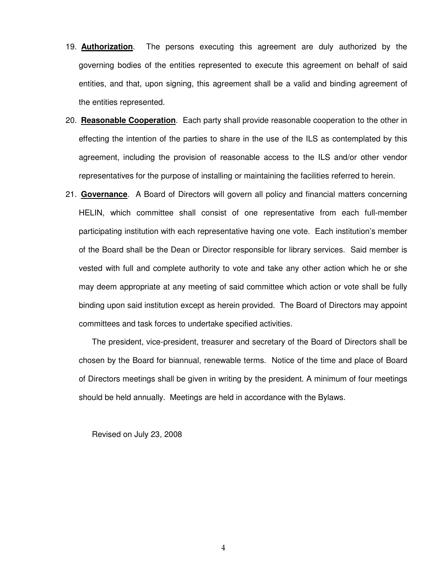- 19. **Authorization**. The persons executing this agreement are duly authorized by the governing bodies of the entities represented to execute this agreement on behalf of said entities, and that, upon signing, this agreement shall be a valid and binding agreement of the entities represented.
- 20. **Reasonable Cooperation**. Each party shall provide reasonable cooperation to the other in effecting the intention of the parties to share in the use of the ILS as contemplated by this agreement, including the provision of reasonable access to the ILS and/or other vendor representatives for the purpose of installing or maintaining the facilities referred to herein.
- 21. **Governance**. A Board of Directors will govern all policy and financial matters concerning HELIN, which committee shall consist of one representative from each full-member participating institution with each representative having one vote. Each institution's member of the Board shall be the Dean or Director responsible for library services. Said member is vested with full and complete authority to vote and take any other action which he or she may deem appropriate at any meeting of said committee which action or vote shall be fully binding upon said institution except as herein provided. The Board of Directors may appoint committees and task forces to undertake specified activities.

The president, vice-president, treasurer and secretary of the Board of Directors shall be chosen by the Board for biannual, renewable terms. Notice of the time and place of Board of Directors meetings shall be given in writing by the president. A minimum of four meetings should be held annually. Meetings are held in accordance with the Bylaws.

Revised on July 23, 2008

4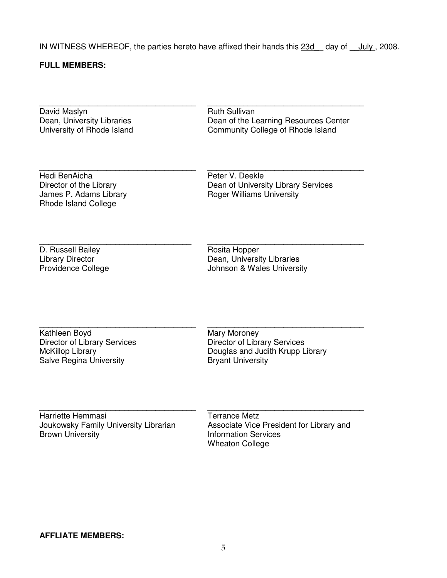IN WITNESS WHEREOF, the parties hereto have affixed their hands this 23d day of July, 2008.

### **FULL MEMBERS:**

\_\_\_\_\_\_\_\_\_\_\_\_\_\_\_\_\_\_\_\_\_\_\_\_\_\_\_\_\_\_\_\_\_\_\_ David Maslyn Dean, University Libraries University of Rhode Island

\_\_\_\_\_\_\_\_\_\_\_\_\_\_\_\_\_\_\_\_\_\_\_\_\_\_\_\_\_\_\_\_\_\_\_ Ruth Sullivan Dean of the Learning Resources Center Community College of Rhode Island

\_\_\_\_\_\_\_\_\_\_\_\_\_\_\_\_\_\_\_\_\_\_\_\_\_\_\_\_\_\_\_\_\_\_\_

\_\_\_\_\_\_\_\_\_\_\_\_\_\_\_\_\_\_\_\_\_\_\_\_\_\_\_\_\_\_\_\_\_\_\_

\_\_\_\_\_\_\_\_\_\_\_\_\_\_\_\_\_\_\_\_\_\_\_\_\_\_\_\_\_\_\_\_\_\_\_

Hedi BenAicha Director of the Library James P. Adams Library Rhode Island College

\_\_\_\_\_\_\_\_\_\_\_\_\_\_\_\_\_\_\_\_\_\_\_\_\_\_\_\_\_\_\_\_\_\_\_

\_\_\_\_\_\_\_\_\_\_\_\_\_\_\_\_\_\_\_\_\_\_\_\_\_\_\_\_\_\_\_\_\_\_

Peter V. Deekle Dean of University Library Services Roger Williams University

D. Russell Bailey Library Director Providence College Rosita Hopper Dean, University Libraries Johnson & Wales University

\_\_\_\_\_\_\_\_\_\_\_\_\_\_\_\_\_\_\_\_\_\_\_\_\_\_\_\_\_\_\_\_\_\_\_ Kathleen Boyd Director of Library Services McKillop Library Salve Regina University

Mary Moroney Director of Library Services Douglas and Judith Krupp Library Bryant University

Harriette Hemmasi Joukowsky Family University Librarian Brown University

\_\_\_\_\_\_\_\_\_\_\_\_\_\_\_\_\_\_\_\_\_\_\_\_\_\_\_\_\_\_\_\_\_\_\_

Terrance Metz Associate Vice President for Library and Information Services Wheaton College

\_\_\_\_\_\_\_\_\_\_\_\_\_\_\_\_\_\_\_\_\_\_\_\_\_\_\_\_\_\_\_\_\_\_\_

## **AFFLIATE MEMBERS:**